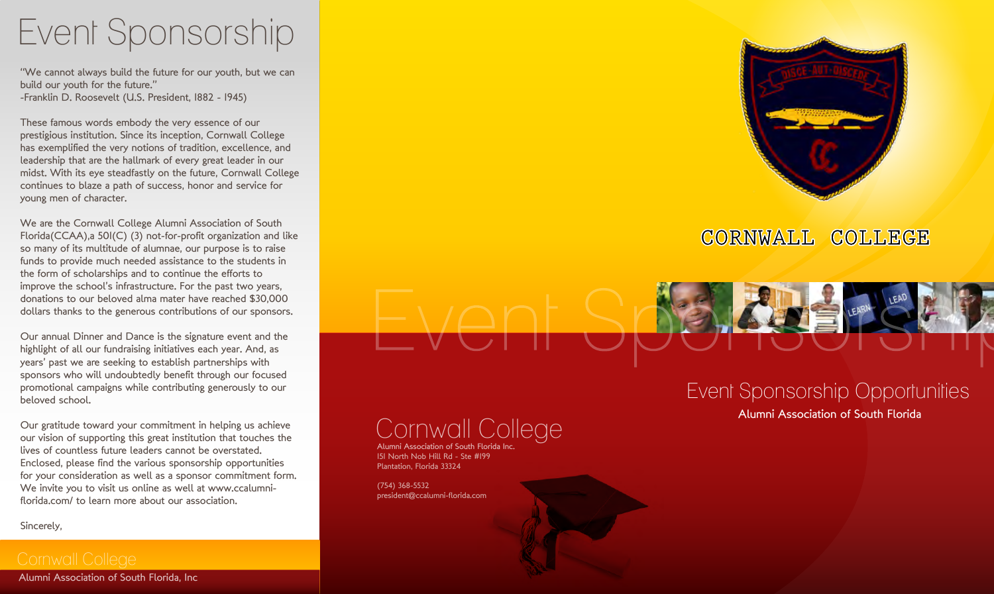# Event Sponsorship

"We cannot always build the future for our youth, but we can build our youth for the future." -Franklin D. Roosevelt (U.S. President, 1882 - 1945)

These famous words embody the very essence of our prestigious institution. Since its inception, Cornwall College has exemplified the very notions of tradition, excellence, and leadership that are the hallmark of every great leader in our midst. With its eye steadfastly on the future, Cornwall College continues to blaze a path of success, honor and service for young men of character.

We are the Cornwall College Alumni Association of South Florida(CCAA),a 501(C) (3) not-for-profit organization and like so many of its multitude of alumnae, our purpose is to raise funds to provide much needed assistance to the students in the form of scholarships and to continue the efforts to improve the school's infrastructure. For the past two years, donations to our beloved alma mater have reached \$30,000 dollars thanks to the generous contributions of our sponsors.

Our annual Dinner and Dance is the signature event and the highlight of all our fundraising initiatives each year. And, as years' past we are seeking to establish partnerships with sponsors who will undoubtedly benefit through our focused promotional campaigns while contributing generously to our beloved school.

Our gratitude toward your commitment in helping us achieve our vision of supporting this great institution that touches the lives of countless future leaders cannot be overstated. Enclosed, please find the various sponsorship opportunities for your consideration as well as a sponsor commitment form. We invite you to visit us online as well at www.ccalumniflorida.com/ to learn more about our association.

Sincerely,

Alumni Association of South Florida, Inc



### CORNWALL COLLEGE

# Event Sponsorship Opportunities

### Cornwall College

Alumni Association of South Florida Inc. 151 North Nob Hill Rd - Ste #199 Plantation, Florida 33324

(754) 368-5532 president@ccalumni-florida.com Alumni Association of South Florida